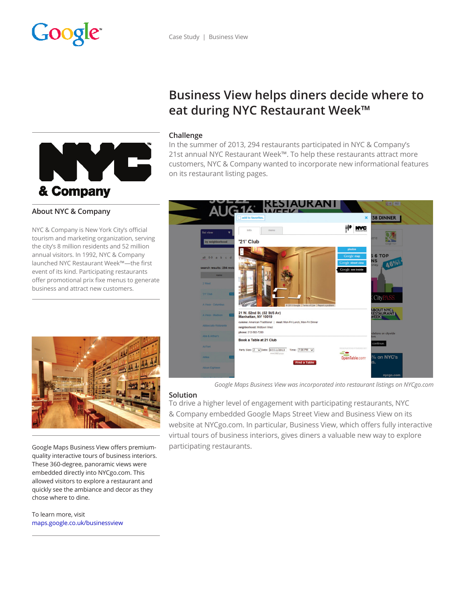



## **About NYC & Company**

NYC & Company is New York City's official tourism and marketing organization, serving the city's 8 million residents and 52 million annual visitors. In 1992, NYC & Company launched NYC Restaurant Week™—the first event of its kind. Participating restaurants offer promotional prix fixe menus to generate business and attract new customers.



Google Maps Business View offers premiumquality interactive tours of business interiors. These 360-degree, panoramic views were embedded directly into NYCgo.com. This allowed visitors to explore a restaurant and quickly see the ambiance and decor as they chose where to dine.

To learn more, visit maps.google.co.uk/businessview

# **Business View helps diners decide where to eat during NYC Restaurant Week™**

## **Challenge**

In the summer of 2013, 294 restaurants participated in NYC & Company's 21st annual NYC Restaurant Week™. To help these restaurants attract more customers, NYC & Company wanted to incorporate new informational features on its restaurant listing pages.



*Google Maps Business View was incorporated into restaurant listings on NYCgo.com*

#### **Solution**

To drive a higher level of engagement with participating restaurants, NYC & Company embedded Google Maps Street View and Business View on its website at NYCgo.com. In particular, Business View, which offers fully interactive virtual tours of business interiors, gives diners a valuable new way to explore participating restaurants.